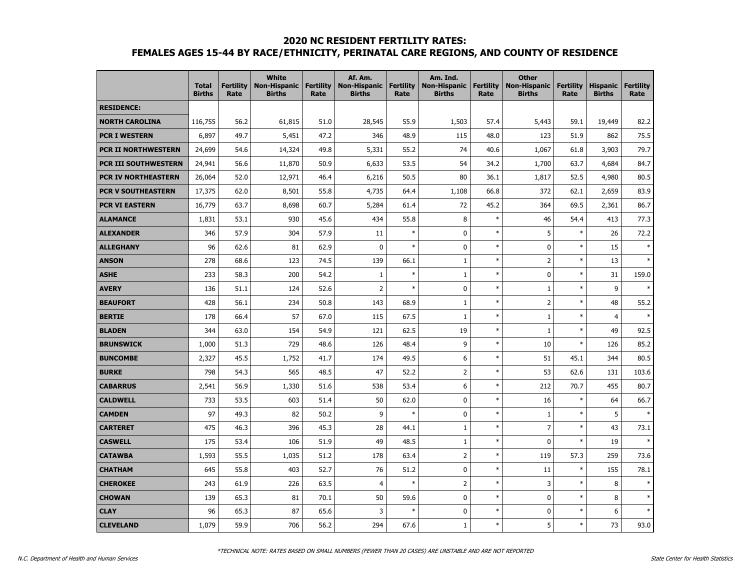#### **2020 NC RESIDENT FERTILITY RATES:**

# **FEMALES AGES 15-44 BY RACE/ETHNICITY, PERINATAL CARE REGIONS, AND COUNTY OF RESIDENCE**

|                             | <b>Total</b><br><b>Births</b> | <b>Fertility</b><br>Rate | <b>White</b><br><b>Non-Hispanic</b><br><b>Births</b> | <b>Fertility</b><br>Rate | Af. Am.<br><b>Non-Hispanic</b><br><b>Births</b> | <b>Fertility</b><br>Rate | Am. Ind.<br><b>Non-Hispanic</b><br><b>Births</b> | <b>Fertility</b><br>Rate | <b>Other</b><br><b>Non-Hispanic</b><br><b>Births</b> | <b>Fertility</b><br>Rate | <b>Hispanic</b><br><b>Births</b> | <b>Fertility</b><br>Rate |
|-----------------------------|-------------------------------|--------------------------|------------------------------------------------------|--------------------------|-------------------------------------------------|--------------------------|--------------------------------------------------|--------------------------|------------------------------------------------------|--------------------------|----------------------------------|--------------------------|
| <b>RESIDENCE:</b>           |                               |                          |                                                      |                          |                                                 |                          |                                                  |                          |                                                      |                          |                                  |                          |
| <b>NORTH CAROLINA</b>       | 116,755                       | 56.2                     | 61,815                                               | 51.0                     | 28,545                                          | 55.9                     | 1,503                                            | 57.4                     | 5,443                                                | 59.1                     | 19,449                           | 82.2                     |
| <b>PCR I WESTERN</b>        | 6,897                         | 49.7                     | 5,451                                                | 47.2                     | 346                                             | 48.9                     | 115                                              | 48.0                     | 123                                                  | 51.9                     | 862                              | 75.5                     |
| PCR II NORTHWESTERN         | 24,699                        | 54.6                     | 14,324                                               | 49.8                     | 5,331                                           | 55.2                     | 74                                               | 40.6                     | 1,067                                                | 61.8                     | 3,903                            | 79.7                     |
| <b>PCR III SOUTHWESTERN</b> | 24,941                        | 56.6                     | 11,870                                               | 50.9                     | 6,633                                           | 53.5                     | 54                                               | 34.2                     | 1,700                                                | 63.7                     | 4,684                            | 84.7                     |
| <b>PCR IV NORTHEASTERN</b>  | 26,064                        | 52.0                     | 12,971                                               | 46.4                     | 6,216                                           | 50.5                     | 80                                               | 36.1                     | 1,817                                                | 52.5                     | 4,980                            | 80.5                     |
| <b>PCR V SOUTHEASTERN</b>   | 17,375                        | 62.0                     | 8,501                                                | 55.8                     | 4,735                                           | 64.4                     | 1,108                                            | 66.8                     | 372                                                  | 62.1                     | 2,659                            | 83.9                     |
| <b>PCR VI EASTERN</b>       | 16,779                        | 63.7                     | 8,698                                                | 60.7                     | 5,284                                           | 61.4                     | 72                                               | 45.2                     | 364                                                  | 69.5                     | 2,361                            | 86.7                     |
| <b>ALAMANCE</b>             | 1,831                         | 53.1                     | 930                                                  | 45.6                     | 434                                             | 55.8                     | 8                                                | $\ast$                   | 46                                                   | 54.4                     | 413                              | 77.3                     |
| <b>ALEXANDER</b>            | 346                           | 57.9                     | 304                                                  | 57.9                     | 11                                              | $\ast$                   | 0                                                | $\ast$                   | 5                                                    | $\ast$                   | 26                               | 72.2                     |
| <b>ALLEGHANY</b>            | 96                            | 62.6                     | 81                                                   | 62.9                     | $\mathbf{0}$                                    | $\ast$                   | $\mathbf 0$                                      | $\ast$                   | 0                                                    | $\ast$                   | 15                               |                          |
| <b>ANSON</b>                | 278                           | 68.6                     | 123                                                  | 74.5                     | 139                                             | 66.1                     | $\mathbf{1}$                                     | $\ast$                   | $\overline{2}$                                       | $\ast$                   | 13                               | $\ast$                   |
| <b>ASHE</b>                 | 233                           | 58.3                     | 200                                                  | 54.2                     | $\mathbf{1}$                                    | $\ast$                   | $\mathbf{1}$                                     | $\ast$                   | 0                                                    | $\ast$                   | 31                               | 159.0                    |
| <b>AVERY</b>                | 136                           | 51.1                     | 124                                                  | 52.6                     | $\overline{2}$                                  | $\ast$                   | 0                                                | $\ast$                   | $\mathbf{1}$                                         | $\ast$                   | 9                                | $\ast$                   |
| <b>BEAUFORT</b>             | 428                           | 56.1                     | 234                                                  | 50.8                     | 143                                             | 68.9                     | $\mathbf{1}$                                     | $\ast$                   | $\overline{2}$                                       | $\ast$                   | 48                               | 55.2                     |
| <b>BERTIE</b>               | 178                           | 66.4                     | 57                                                   | 67.0                     | 115                                             | 67.5                     | $\mathbf{1}$                                     | $\ast$                   | $1\,$                                                | $\ast$                   | $\overline{4}$                   | $\ast$                   |
| <b>BLADEN</b>               | 344                           | 63.0                     | 154                                                  | 54.9                     | 121                                             | 62.5                     | 19                                               | $\ast$                   | $1\,$                                                | $\ast$                   | 49                               | 92.5                     |
| <b>BRUNSWICK</b>            | 1,000                         | 51.3                     | 729                                                  | 48.6                     | 126                                             | 48.4                     | 9                                                | $\ast$                   | 10                                                   | $\ast$                   | 126                              | 85.2                     |
| <b>BUNCOMBE</b>             | 2,327                         | 45.5                     | 1,752                                                | 41.7                     | 174                                             | 49.5                     | 6                                                | $\ast$                   | 51                                                   | 45.1                     | 344                              | 80.5                     |
| <b>BURKE</b>                | 798                           | 54.3                     | 565                                                  | 48.5                     | 47                                              | 52.2                     | $\overline{2}$                                   | $\ast$                   | 53                                                   | 62.6                     | 131                              | 103.6                    |
| <b>CABARRUS</b>             | 2,541                         | 56.9                     | 1,330                                                | 51.6                     | 538                                             | 53.4                     | 6                                                | $\ast$                   | 212                                                  | 70.7                     | 455                              | 80.7                     |
| <b>CALDWELL</b>             | 733                           | 53.5                     | 603                                                  | 51.4                     | 50                                              | 62.0                     | 0                                                | $\ast$                   | 16                                                   | $\ast$                   | 64                               | 66.7                     |
| <b>CAMDEN</b>               | 97                            | 49.3                     | 82                                                   | 50.2                     | 9                                               | $\ast$                   | $\mathbf 0$                                      | $\ast$                   | $1\,$                                                | $\ast$                   | 5                                | $\ast$                   |
| <b>CARTERET</b>             | 475                           | 46.3                     | 396                                                  | 45.3                     | 28                                              | 44.1                     | $\mathbf{1}$                                     | $\ast$                   | $\overline{7}$                                       | $\ast$                   | 43                               | 73.1                     |
| <b>CASWELL</b>              | 175                           | 53.4                     | 106                                                  | 51.9                     | 49                                              | 48.5                     | $\mathbf{1}$                                     | $\ast$                   | $\mathbf 0$                                          | $\ast$                   | 19                               | $\ast$                   |
| <b>CATAWBA</b>              | 1,593                         | 55.5                     | 1,035                                                | 51.2                     | 178                                             | 63.4                     | $\overline{2}$                                   | $\ast$                   | 119                                                  | 57.3                     | 259                              | 73.6                     |
| <b>CHATHAM</b>              | 645                           | 55.8                     | 403                                                  | 52.7                     | 76                                              | 51.2                     | 0                                                | $\ast$                   | 11                                                   | $\ast$                   | 155                              | 78.1                     |
| <b>CHEROKEE</b>             | 243                           | 61.9                     | 226                                                  | 63.5                     | $\overline{4}$                                  | $\ast$                   | $\overline{2}$                                   | $\ast$                   | 3                                                    | $\ast$                   | 8                                |                          |
| <b>CHOWAN</b>               | 139                           | 65.3                     | 81                                                   | 70.1                     | 50                                              | 59.6                     | 0                                                | $\ast$                   | $\mathbf 0$                                          | $\ast$                   | 8                                | $\ast$                   |
| <b>CLAY</b>                 | 96                            | 65.3                     | 87                                                   | 65.6                     | $\overline{3}$                                  | $\ast$                   | 0                                                | $\ast$                   | $\mathbf 0$                                          | $\ast$                   | 6                                | $\ast$                   |
| <b>CLEVELAND</b>            | 1,079                         | 59.9                     | 706                                                  | 56.2                     | 294                                             | 67.6                     | $1\,$                                            | $\ast$                   | 5                                                    | $\ast$                   | 73                               | 93.0                     |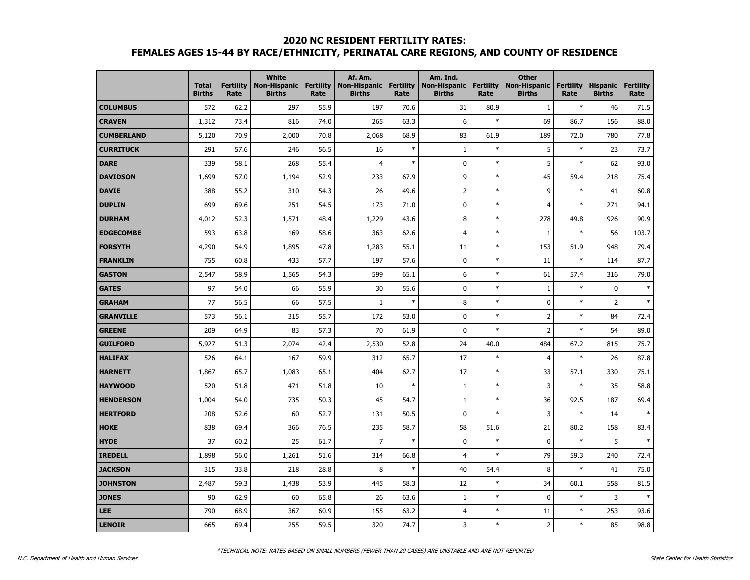### **2020 NC RESIDENT FERTILITY RATES: FEMALES AGES 15-44 BY RACE/ETHNICITY, PERINATAL CARE REGIONS, AND COUNTY OF RESIDENCE**

|                   | <b>Total</b><br><b>Births</b> | <b>Fertility</b><br>Rate | <b>White</b><br><b>Non-Hispanic</b><br><b>Births</b> | <b>Fertility</b><br>Rate | Af. Am.<br><b>Non-Hispanic</b><br><b>Births</b> | <b>Fertility</b><br>Rate | Am. Ind.<br><b>Non-Hispanic</b><br><b>Births</b> | <b>Fertility</b><br>Rate | <b>Other</b><br><b>Non-Hispanic</b><br><b>Births</b> | <b>Fertility</b><br>Rate | <b>Hispanic</b><br><b>Births</b> | <b>Fertility</b><br>Rate |
|-------------------|-------------------------------|--------------------------|------------------------------------------------------|--------------------------|-------------------------------------------------|--------------------------|--------------------------------------------------|--------------------------|------------------------------------------------------|--------------------------|----------------------------------|--------------------------|
| <b>COLUMBUS</b>   | 572                           | 62.2                     | 297                                                  | 55.9                     | 197                                             | 70.6                     | 31                                               | 80.9                     | $\mathbf{1}$                                         | $\ast$                   | 46                               | 71.5                     |
| <b>CRAVEN</b>     | 1,312                         | 73.4                     | 816                                                  | 74.0                     | 265                                             | 63.3                     | 6                                                | $\ast$                   | 69                                                   | 86.7                     | 156                              | 88.0                     |
| <b>CUMBERLAND</b> | 5,120                         | 70.9                     | 2,000                                                | 70.8                     | 2,068                                           | 68.9                     | 83                                               | 61.9                     | 189                                                  | 72.0                     | 780                              | 77.8                     |
| <b>CURRITUCK</b>  | 291                           | 57.6                     | 246                                                  | 56.5                     | 16                                              | $\ast$                   | $\mathbf{1}$                                     | $\ast$                   | 5                                                    | $\ast$                   | 23                               | 73.7                     |
| <b>DARE</b>       | 339                           | 58.1                     | 268                                                  | 55.4                     | 4                                               | $\ast$                   | 0                                                | $\ast$                   | 5                                                    | $\ast$                   | 62                               | 93.0                     |
| <b>DAVIDSON</b>   | 1,699                         | 57.0                     | 1,194                                                | 52.9                     | 233                                             | 67.9                     | 9                                                | $\ast$                   | 45                                                   | 59.4                     | 218                              | 75.4                     |
| <b>DAVIE</b>      | 388                           | 55.2                     | 310                                                  | 54.3                     | 26                                              | 49.6                     | $\overline{2}$                                   | $\ast$                   | 9                                                    | $\ast$                   | 41                               | 60.8                     |
| <b>DUPLIN</b>     | 699                           | 69.6                     | 251                                                  | 54.5                     | 173                                             | 71.0                     | 0                                                | $\ast$                   | $\overline{4}$                                       | $\ast$                   | 271                              | 94.1                     |
| <b>DURHAM</b>     | 4,012                         | 52.3                     | 1,571                                                | 48.4                     | 1,229                                           | 43.6                     | 8                                                | $\ast$                   | 278                                                  | 49.8                     | 926                              | 90.9                     |
| <b>EDGECOMBE</b>  | 593                           | 63.8                     | 169                                                  | 58.6                     | 363                                             | 62.6                     | $\overline{4}$                                   | $\ast$                   | $\mathbf{1}$                                         | $\ast$                   | 56                               | 103.7                    |
| <b>FORSYTH</b>    | 4,290                         | 54.9                     | 1,895                                                | 47.8                     | 1,283                                           | 55.1                     | 11                                               | $\ast$                   | 153                                                  | 51.9                     | 948                              | 79.4                     |
| <b>FRANKLIN</b>   | 755                           | 60.8                     | 433                                                  | 57.7                     | 197                                             | 57.6                     | 0                                                | $\ast$                   | 11                                                   | $\ast$                   | 114                              | 87.7                     |
| <b>GASTON</b>     | 2,547                         | 58.9                     | 1,565                                                | 54.3                     | 599                                             | 65.1                     | 6                                                | $\ast$                   | 61                                                   | 57.4                     | 316                              | 79.0                     |
| <b>GATES</b>      | 97                            | 54.0                     | 66                                                   | 55.9                     | 30                                              | 55.6                     | 0                                                | $\ast$                   | $\mathbf{1}$                                         | $\ast$                   | $\mathbf 0$                      | $\ast$                   |
| <b>GRAHAM</b>     | 77                            | 56.5                     | 66                                                   | 57.5                     | $\mathbf{1}$                                    | $\ast$                   | 8                                                | $\ast$                   | $\mathbf 0$                                          | $\ast$                   | 2                                | $\ast$                   |
| <b>GRANVILLE</b>  | 573                           | 56.1                     | 315                                                  | 55.7                     | 172                                             | 53.0                     | 0                                                | $\ast$                   | $\overline{2}$                                       | $\ast$                   | 84                               | 72.4                     |
| <b>GREENE</b>     | 209                           | 64.9                     | 83                                                   | 57.3                     | 70                                              | 61.9                     | 0                                                | $\ast$                   | $\overline{2}$                                       | $\ast$                   | 54                               | 89.0                     |
| <b>GUILFORD</b>   | 5,927                         | 51.3                     | 2,074                                                | 42.4                     | 2,530                                           | 52.8                     | 24                                               | 40.0                     | 484                                                  | 67.2                     | 815                              | 75.7                     |
| <b>HALIFAX</b>    | 526                           | 64.1                     | 167                                                  | 59.9                     | 312                                             | 65.7                     | 17                                               | $\ast$                   | $\overline{4}$                                       | $\ast$                   | 26                               | 87.8                     |
| <b>HARNETT</b>    | 1,867                         | 65.7                     | 1,083                                                | 65.1                     | 404                                             | 62.7                     | 17                                               | $\ast$                   | 33                                                   | 57.1                     | 330                              | 75.1                     |
| <b>HAYWOOD</b>    | 520                           | 51.8                     | 471                                                  | 51.8                     | 10                                              | $\ast$                   | $\mathbf{1}$                                     | $\ast$                   | 3                                                    | $\ast$                   | 35                               | 58.8                     |
| <b>HENDERSON</b>  | 1,004                         | 54.0                     | 735                                                  | 50.3                     | 45                                              | 54.7                     | $\mathbf{1}$                                     | $\ast$                   | 36                                                   | 92.5                     | 187                              | 69.4                     |
| <b>HERTFORD</b>   | 208                           | 52.6                     | 60                                                   | 52.7                     | 131                                             | 50.5                     | $\mathbf{0}$                                     | $\ast$                   | 3                                                    | $\ast$                   | 14                               | $\ast$                   |
| <b>HOKE</b>       | 838                           | 69.4                     | 366                                                  | 76.5                     | 235                                             | 58.7                     | 58                                               | 51.6                     | 21                                                   | 80.2                     | 158                              | 83.4                     |
| <b>HYDE</b>       | 37                            | 60.2                     | 25                                                   | 61.7                     | 7                                               | $\ast$                   | $\mathbf 0$                                      | $\ast$                   | $\pmb{0}$                                            | $\ast$                   | 5                                | $\ast$                   |
| <b>IREDELL</b>    | 1,898                         | 56.0                     | 1,261                                                | 51.6                     | 314                                             | 66.8                     | 4                                                | $\ast$                   | 79                                                   | 59.3                     | 240                              | 72.4                     |
| <b>JACKSON</b>    | 315                           | 33.8                     | 218                                                  | 28.8                     | 8                                               | $\ast$                   | 40                                               | 54.4                     | 8                                                    | $\ast$                   | 41                               | 75.0                     |
| <b>JOHNSTON</b>   | 2,487                         | 59.3                     | 1,438                                                | 53.9                     | 445                                             | 58.3                     | 12                                               | $\ast$                   | 34                                                   | 60.1                     | 558                              | 81.5                     |
| <b>JONES</b>      | 90                            | 62.9                     | 60                                                   | 65.8                     | 26                                              | 63.6                     | $\mathbf{1}$                                     | $\ast$                   | $\mathbf 0$                                          | $\ast$                   | 3                                |                          |
| <b>LEE</b>        | 790                           | 68.9                     | 367                                                  | 60.9                     | 155                                             | 63.2                     | $\overline{4}$                                   | $\ast$                   | 11                                                   | $\ast$                   | 253                              | 93.6                     |
| <b>LENOIR</b>     | 665                           | 69.4                     | 255                                                  | 59.5                     | 320                                             | 74.7                     | 3                                                | $\ast$                   | $\mathsf{2}$                                         | $\ast$                   | 85                               | 98.8                     |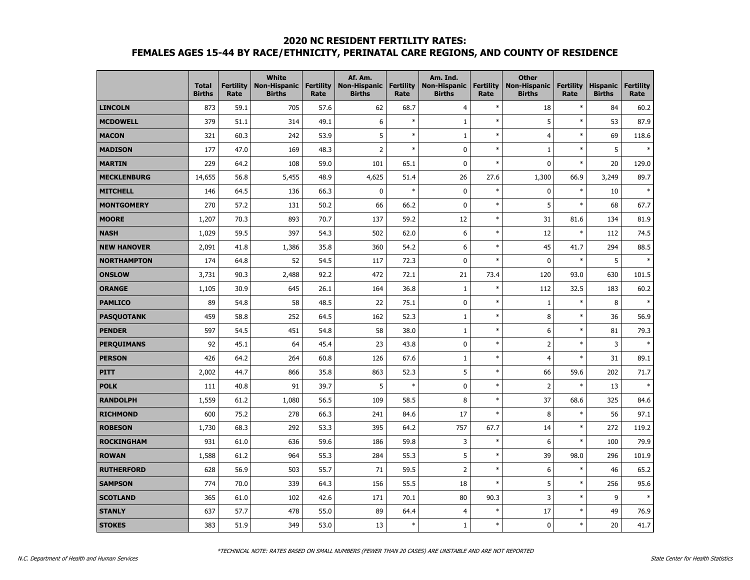## **2020 NC RESIDENT FERTILITY RATES: FEMALES AGES 15-44 BY RACE/ETHNICITY, PERINATAL CARE REGIONS, AND COUNTY OF RESIDENCE**

|                    | <b>Total</b><br><b>Births</b> | <b>Fertility</b><br>Rate | <b>White</b><br><b>Non-Hispanic</b><br><b>Births</b> | <b>Fertility</b><br>Rate | Af. Am.<br><b>Non-Hispanic</b><br><b>Births</b> | <b>Fertility</b><br>Rate | Am. Ind.<br><b>Non-Hispanic</b><br><b>Births</b> | <b>Fertility</b><br>Rate | <b>Other</b><br><b>Non-Hispanic</b><br><b>Births</b> | <b>Fertility</b><br>Rate | <b>Hispanic</b><br><b>Births</b> | <b>Fertility</b><br>Rate |
|--------------------|-------------------------------|--------------------------|------------------------------------------------------|--------------------------|-------------------------------------------------|--------------------------|--------------------------------------------------|--------------------------|------------------------------------------------------|--------------------------|----------------------------------|--------------------------|
| <b>LINCOLN</b>     | 873                           | 59.1                     | 705                                                  | 57.6                     | 62                                              | 68.7                     | 4                                                | $\ast$                   | 18                                                   | $\ast$                   | 84                               | 60.2                     |
| <b>MCDOWELL</b>    | 379                           | 51.1                     | 314                                                  | 49.1                     | 6                                               | $\ast$                   | $\mathbf{1}$                                     | $\ast$                   | 5                                                    | $\ast$                   | 53                               | 87.9                     |
| <b>MACON</b>       | 321                           | 60.3                     | 242                                                  | 53.9                     | 5                                               | $\ast$                   | $\mathbf{1}$                                     | $\ast$                   | $\overline{4}$                                       | $\ast$                   | 69                               | 118.6                    |
| <b>MADISON</b>     | 177                           | 47.0                     | 169                                                  | 48.3                     | $\overline{2}$                                  | $\ast$                   | 0                                                | $\ast$                   | $\mathbf{1}$                                         | $\ast$                   | 5                                | $\ast$                   |
| <b>MARTIN</b>      | 229                           | 64.2                     | 108                                                  | 59.0                     | 101                                             | 65.1                     | 0                                                | $\ast$                   | $\pmb{0}$                                            | $\ast$                   | 20                               | 129.0                    |
| <b>MECKLENBURG</b> | 14,655                        | 56.8                     | 5,455                                                | 48.9                     | 4,625                                           | 51.4                     | 26                                               | 27.6                     | 1,300                                                | 66.9                     | 3,249                            | 89.7                     |
| <b>MITCHELL</b>    | 146                           | 64.5                     | 136                                                  | 66.3                     | 0                                               | $\ast$                   | $\mathbf 0$                                      | $\ast$                   | $\pmb{0}$                                            | $\ast$                   | 10                               | $\ast$                   |
| <b>MONTGOMERY</b>  | 270                           | 57.2                     | 131                                                  | 50.2                     | 66                                              | 66.2                     | 0                                                | $\ast$                   | 5                                                    | $\ast$                   | 68                               | 67.7                     |
| <b>MOORE</b>       | 1,207                         | 70.3                     | 893                                                  | 70.7                     | 137                                             | 59.2                     | 12                                               | $\ast$                   | 31                                                   | 81.6                     | 134                              | 81.9                     |
| <b>NASH</b>        | 1,029                         | 59.5                     | 397                                                  | 54.3                     | 502                                             | 62.0                     | 6                                                | $\ast$                   | 12                                                   | $\ast$                   | 112                              | 74.5                     |
| <b>NEW HANOVER</b> | 2,091                         | 41.8                     | 1,386                                                | 35.8                     | 360                                             | 54.2                     | 6                                                | $\ast$                   | 45                                                   | 41.7                     | 294                              | 88.5                     |
| <b>NORTHAMPTON</b> | 174                           | 64.8                     | 52                                                   | 54.5                     | 117                                             | 72.3                     | 0                                                | $\ast$                   | $\mathbf 0$                                          | $\ast$                   | 5                                |                          |
| <b>ONSLOW</b>      | 3,731                         | 90.3                     | 2,488                                                | 92.2                     | 472                                             | 72.1                     | 21                                               | 73.4                     | 120                                                  | 93.0                     | 630                              | 101.5                    |
| <b>ORANGE</b>      | 1,105                         | 30.9                     | 645                                                  | 26.1                     | 164                                             | 36.8                     | $1\,$                                            | $\ast$                   | 112                                                  | 32.5                     | 183                              | 60.2                     |
| <b>PAMLICO</b>     | 89                            | 54.8                     | 58                                                   | 48.5                     | 22                                              | 75.1                     | 0                                                | $\ast$                   | $\,1\,$                                              | $\ast$                   | 8                                |                          |
| <b>PASQUOTANK</b>  | 459                           | 58.8                     | 252                                                  | 64.5                     | 162                                             | 52.3                     | $\mathbf{1}$                                     | $\ast$                   | $\bf 8$                                              | $\ast$                   | 36                               | 56.9                     |
| <b>PENDER</b>      | 597                           | 54.5                     | 451                                                  | 54.8                     | 58                                              | 38.0                     | $\mathbf{1}$                                     | $\ast$                   | 6                                                    | $\ast$                   | 81                               | 79.3                     |
| <b>PERQUIMANS</b>  | 92                            | 45.1                     | 64                                                   | 45.4                     | 23                                              | 43.8                     | 0                                                | $\ast$                   | $\overline{2}$                                       | $\ast$                   | 3                                | $\ast$                   |
| <b>PERSON</b>      | 426                           | 64.2                     | 264                                                  | 60.8                     | 126                                             | 67.6                     | $\mathbf{1}$                                     | $\ast$                   | $\overline{4}$                                       | $\ast$                   | 31                               | 89.1                     |
| <b>PITT</b>        | 2,002                         | 44.7                     | 866                                                  | 35.8                     | 863                                             | 52.3                     | 5                                                | $\ast$                   | 66                                                   | 59.6                     | 202                              | 71.7                     |
| <b>POLK</b>        | 111                           | 40.8                     | 91                                                   | 39.7                     | 5                                               | $\ast$                   | 0                                                | $\ast$                   | $\mathbf 2$                                          | $\ast$                   | 13                               |                          |
| <b>RANDOLPH</b>    | 1,559                         | 61.2                     | 1,080                                                | 56.5                     | 109                                             | 58.5                     | 8                                                | $\ast$                   | 37                                                   | 68.6                     | 325                              | 84.6                     |
| <b>RICHMOND</b>    | 600                           | 75.2                     | 278                                                  | 66.3                     | 241                                             | 84.6                     | 17                                               | $\ast$                   | 8                                                    | $\ast$                   | 56                               | 97.1                     |
| <b>ROBESON</b>     | 1,730                         | 68.3                     | 292                                                  | 53.3                     | 395                                             | 64.2                     | 757                                              | 67.7                     | 14                                                   | $\ast$                   | 272                              | 119.2                    |
| <b>ROCKINGHAM</b>  | 931                           | 61.0                     | 636                                                  | 59.6                     | 186                                             | 59.8                     | 3                                                | $\ast$                   | 6                                                    | $\ast$                   | 100                              | 79.9                     |
| <b>ROWAN</b>       | 1,588                         | 61.2                     | 964                                                  | 55.3                     | 284                                             | 55.3                     | 5                                                | $\ast$                   | 39                                                   | 98.0                     | 296                              | 101.9                    |
| <b>RUTHERFORD</b>  | 628                           | 56.9                     | 503                                                  | 55.7                     | 71                                              | 59.5                     | $\overline{2}$                                   | $\ast$                   | 6                                                    | $\ast$                   | 46                               | 65.2                     |
| <b>SAMPSON</b>     | 774                           | 70.0                     | 339                                                  | 64.3                     | 156                                             | 55.5                     | 18                                               | $\ast$                   | 5                                                    | $\ast$                   | 256                              | 95.6                     |
| <b>SCOTLAND</b>    | 365                           | 61.0                     | 102                                                  | 42.6                     | 171                                             | 70.1                     | 80                                               | 90.3                     | 3                                                    | $\ast$                   | 9                                |                          |
| <b>STANLY</b>      | 637                           | 57.7                     | 478                                                  | 55.0                     | 89                                              | 64.4                     | $\overline{4}$                                   | $\ast$                   | 17                                                   | $\ast$                   | 49                               | 76.9                     |
| <b>STOKES</b>      | 383                           | 51.9                     | 349                                                  | 53.0                     | 13                                              | $\ast$                   | $1\,$                                            | $\ast$                   | $\pmb{0}$                                            | $\ast$                   | 20                               | 41.7                     |